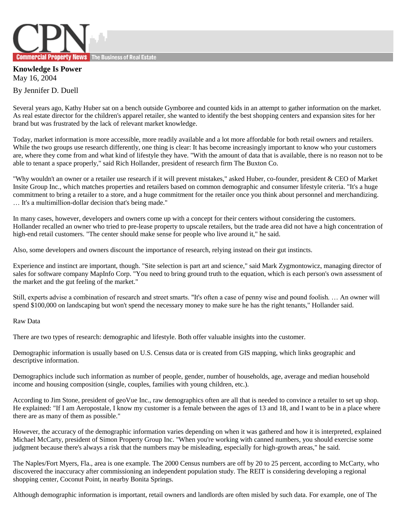

**Knowledge Is Power** May 16, 2004

By Jennifer D. Duell

Several years ago, Kathy Huber sat on a bench outside Gymboree and counted kids in an attempt to gather information on the market. As real estate director for the children's apparel retailer, she wanted to identify the best shopping centers and expansion sites for her brand but was frustrated by the lack of relevant market knowledge.

Today, market information is more accessible, more readily available and a lot more affordable for both retail owners and retailers. While the two groups use research differently, one thing is clear: It has become increasingly important to know who your customers are, where they come from and what kind of lifestyle they have. "With the amount of data that is available, there is no reason not to be able to tenant a space properly," said Rich Hollander, president of research firm The Buxton Co.

"Why wouldn't an owner or a retailer use research if it will prevent mistakes," asked Huber, co-founder, president & CEO of Market Insite Group Inc., which matches properties and retailers based on common demographic and consumer lifestyle criteria. "It's a huge commitment to bring a retailer to a store, and a huge commitment for the retailer once you think about personnel and merchandizing. … It's a multimillion-dollar decision that's being made."

In many cases, however, developers and owners come up with a concept for their centers without considering the customers. Hollander recalled an owner who tried to pre-lease property to upscale retailers, but the trade area did not have a high concentration of high-end retail customers. "The center should make sense for people who live around it," he said.

Also, some developers and owners discount the importance of research, relying instead on their gut instincts.

Experience and instinct are important, though. "Site selection is part art and science," said Mark Zygmontowicz, managing director of sales for software company MapInfo Corp. "You need to bring ground truth to the equation, which is each person's own assessment of the market and the gut feeling of the market."

Still, experts advise a combination of research and street smarts. "It's often a case of penny wise and pound foolish. … An owner will spend \$100,000 on landscaping but won't spend the necessary money to make sure he has the right tenants," Hollander said.

Raw Data

There are two types of research: demographic and lifestyle. Both offer valuable insights into the customer.

Demographic information is usually based on U.S. Census data or is created from GIS mapping, which links geographic and descriptive information.

Demographics include such information as number of people, gender, number of households, age, average and median household income and housing composition (single, couples, families with young children, etc.).

According to Jim Stone, president of geoVue Inc., raw demographics often are all that is needed to convince a retailer to set up shop. He explained: "If I am Aeropostale, I know my customer is a female between the ages of 13 and 18, and I want to be in a place where there are as many of them as possible."

However, the accuracy of the demographic information varies depending on when it was gathered and how it is interpreted, explained Michael McCarty, president of Simon Property Group Inc. "When you're working with canned numbers, you should exercise some judgment because there's always a risk that the numbers may be misleading, especially for high-growth areas," he said.

The Naples/Fort Myers, Fla., area is one example. The 2000 Census numbers are off by 20 to 25 percent, according to McCarty, who discovered the inaccuracy after commissioning an independent population study. The REIT is considering developing a regional shopping center, Coconut Point, in nearby Bonita Springs.

Although demographic information is important, retail owners and landlords are often misled by such data. For example, one of The